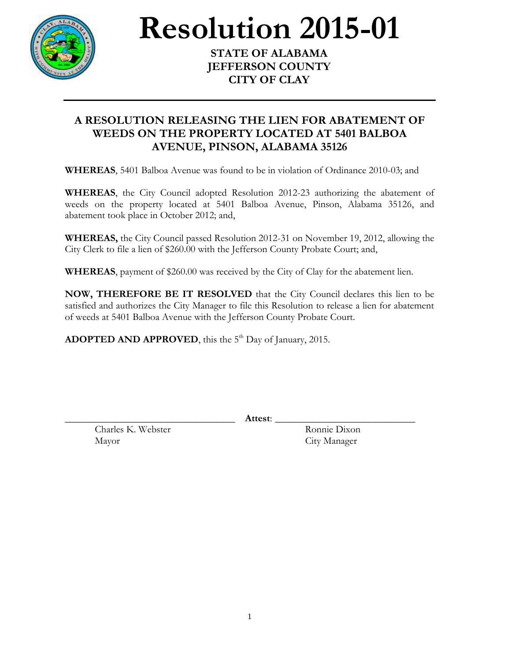

## **Resolution 2015-01**

**STATE OF ALABAMA JEFFERSON COUNTY CITY OF CLAY**

## **A RESOLUTION RELEASING THE LIEN FOR ABATEMENT OF WEEDS ON THE PROPERTY LOCATED AT 5401 BALBOA AVENUE, PINSON, ALABAMA 35126**

**WHEREAS**, 5401 Balboa Avenue was found to be in violation of Ordinance 2010-03; and

**WHEREAS**, the City Council adopted Resolution 2012-23 authorizing the abatement of weeds on the property located at 5401 Balboa Avenue, Pinson, Alabama 35126, and abatement took place in October 2012; and,

**WHEREAS,** the City Council passed Resolution 2012-31 on November 19, 2012, allowing the City Clerk to file a lien of \$260.00 with the Jefferson County Probate Court; and,

**WHEREAS**, payment of \$260.00 was received by the City of Clay for the abatement lien.

**NOW, THEREFORE BE IT RESOLVED** that the City Council declares this lien to be satisfied and authorizes the City Manager to file this Resolution to release a lien for abatement of weeds at 5401 Balboa Avenue with the Jefferson County Probate Court.

ADOPTED AND APPROVED, this the 5<sup>th</sup> Day of January, 2015.

\_\_\_\_\_\_\_\_\_\_\_\_\_\_\_\_\_\_\_\_\_\_\_\_\_\_\_\_\_\_\_\_\_\_ **Attest**: \_\_\_\_\_\_\_\_\_\_\_\_\_\_\_\_\_\_\_\_\_\_\_\_\_\_\_\_

Charles K. Webster Ronnie Dixon Mayor City Manager